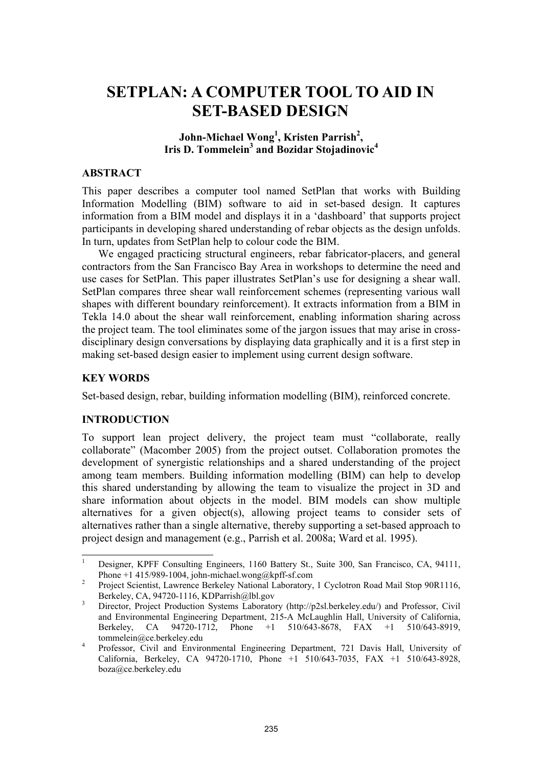# **SETPLAN: A COMPUTER TOOL TO AID IN SET-BASED DESIGN**

# John-Michael Wong<sup>1</sup>, Kristen Parrish<sup>2</sup>, **Iris D. Tommelein3 and Bozidar Stojadinovic4**

#### **ABSTRACT**

This paper describes a computer tool named SetPlan that works with Building Information Modelling (BIM) software to aid in set-based design. It captures information from a BIM model and displays it in a 'dashboard' that supports project participants in developing shared understanding of rebar objects as the design unfolds. In turn, updates from SetPlan help to colour code the BIM.

We engaged practicing structural engineers, rebar fabricator-placers, and general contractors from the San Francisco Bay Area in workshops to determine the need and use cases for SetPlan. This paper illustrates SetPlan's use for designing a shear wall. SetPlan compares three shear wall reinforcement schemes (representing various wall shapes with different boundary reinforcement). It extracts information from a BIM in Tekla 14.0 about the shear wall reinforcement, enabling information sharing across the project team. The tool eliminates some of the jargon issues that may arise in crossdisciplinary design conversations by displaying data graphically and it is a first step in making set-based design easier to implement using current design software.

#### **KEY WORDS**

 $\overline{\phantom{a}}$ 

Set-based design, rebar, building information modelling (BIM), reinforced concrete.

## **INTRODUCTION**

To support lean project delivery, the project team must "collaborate, really collaborate" (Macomber 2005) from the project outset. Collaboration promotes the development of synergistic relationships and a shared understanding of the project among team members. Building information modelling (BIM) can help to develop this shared understanding by allowing the team to visualize the project in 3D and share information about objects in the model. BIM models can show multiple alternatives for a given object(s), allowing project teams to consider sets of alternatives rather than a single alternative, thereby supporting a set-based approach to project design and management (e.g., Parrish et al. 2008a; Ward et al. 1995).

<sup>1</sup> Designer, KPFF Consulting Engineers, 1160 Battery St., Suite 300, San Francisco, CA, 94111, Phone +1 415/989-1004, john-michael.wong@kpff-sf.com 2

Project Scientist, Lawrence Berkeley National Laboratory, 1 Cyclotron Road Mail Stop 90R1116, Berkeley, CA, 94720-1116, KDParrish@lbl.gov

Director, Project Production Systems Laboratory (http://p2sl.berkeley.edu/) and Professor, Civil and Environmental Engineering Department, 215-A McLaughlin Hall, University of California, Berkeley, CA 94720-1712, Phone +1 510/643-8678, FAX +1 510/643-8919, tommelein@ce.berkeley.edu

Professor, Civil and Environmental Engineering Department, 721 Davis Hall, University of California, Berkeley, CA 94720-1710, Phone +1 510/643-7035, FAX +1 510/643-8928, boza@ce.berkeley.edu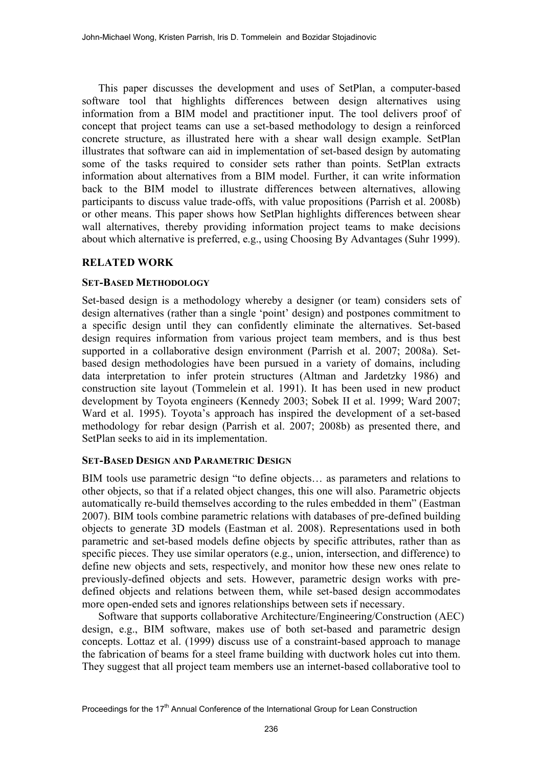This paper discusses the development and uses of SetPlan, a computer-based software tool that highlights differences between design alternatives using information from a BIM model and practitioner input. The tool delivers proof of concept that project teams can use a set-based methodology to design a reinforced concrete structure, as illustrated here with a shear wall design example. SetPlan illustrates that software can aid in implementation of set-based design by automating some of the tasks required to consider sets rather than points. SetPlan extracts information about alternatives from a BIM model. Further, it can write information back to the BIM model to illustrate differences between alternatives, allowing participants to discuss value trade-offs, with value propositions (Parrish et al. 2008b) or other means. This paper shows how SetPlan highlights differences between shear wall alternatives, thereby providing information project teams to make decisions about which alternative is preferred, e.g., using Choosing By Advantages (Suhr 1999).

# **RELATED WORK**

## **SET-BASED METHODOLOGY**

Set-based design is a methodology whereby a designer (or team) considers sets of design alternatives (rather than a single 'point' design) and postpones commitment to a specific design until they can confidently eliminate the alternatives. Set-based design requires information from various project team members, and is thus best supported in a collaborative design environment (Parrish et al. 2007; 2008a). Setbased design methodologies have been pursued in a variety of domains, including data interpretation to infer protein structures (Altman and Jardetzky 1986) and construction site layout (Tommelein et al. 1991). It has been used in new product development by Toyota engineers (Kennedy 2003; Sobek II et al. 1999; Ward 2007; Ward et al. 1995). Toyota's approach has inspired the development of a set-based methodology for rebar design (Parrish et al. 2007; 2008b) as presented there, and SetPlan seeks to aid in its implementation.

## **SET-BASED DESIGN AND PARAMETRIC DESIGN**

BIM tools use parametric design "to define objects… as parameters and relations to other objects, so that if a related object changes, this one will also. Parametric objects automatically re-build themselves according to the rules embedded in them" (Eastman 2007). BIM tools combine parametric relations with databases of pre-defined building objects to generate 3D models (Eastman et al. 2008). Representations used in both parametric and set-based models define objects by specific attributes, rather than as specific pieces. They use similar operators (e.g., union, intersection, and difference) to define new objects and sets, respectively, and monitor how these new ones relate to previously-defined objects and sets. However, parametric design works with predefined objects and relations between them, while set-based design accommodates more open-ended sets and ignores relationships between sets if necessary.

Software that supports collaborative Architecture/Engineering/Construction (AEC) design, e.g., BIM software, makes use of both set-based and parametric design concepts. Lottaz et al. (1999) discuss use of a constraint-based approach to manage the fabrication of beams for a steel frame building with ductwork holes cut into them. They suggest that all project team members use an internet-based collaborative tool to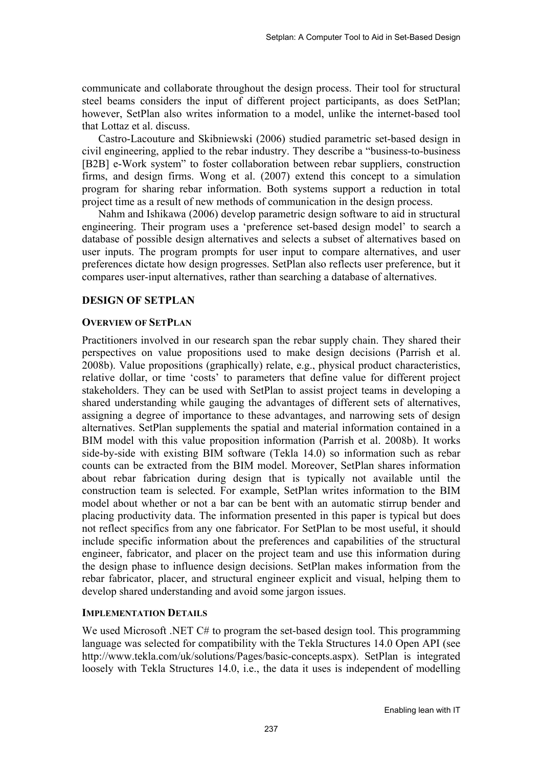communicate and collaborate throughout the design process. Their tool for structural steel beams considers the input of different project participants, as does SetPlan; however, SetPlan also writes information to a model, unlike the internet-based tool that Lottaz et al. discuss.

Castro-Lacouture and Skibniewski (2006) studied parametric set-based design in civil engineering, applied to the rebar industry. They describe a "business-to-business [B2B] e-Work system" to foster collaboration between rebar suppliers, construction firms, and design firms. Wong et al. (2007) extend this concept to a simulation program for sharing rebar information. Both systems support a reduction in total project time as a result of new methods of communication in the design process.

Nahm and Ishikawa (2006) develop parametric design software to aid in structural engineering. Their program uses a 'preference set-based design model' to search a database of possible design alternatives and selects a subset of alternatives based on user inputs. The program prompts for user input to compare alternatives, and user preferences dictate how design progresses. SetPlan also reflects user preference, but it compares user-input alternatives, rather than searching a database of alternatives.

# **DESIGN OF SETPLAN**

#### **OVERVIEW OF SETPLAN**

Practitioners involved in our research span the rebar supply chain. They shared their perspectives on value propositions used to make design decisions (Parrish et al. 2008b). Value propositions (graphically) relate, e.g., physical product characteristics, relative dollar, or time 'costs' to parameters that define value for different project stakeholders. They can be used with SetPlan to assist project teams in developing a shared understanding while gauging the advantages of different sets of alternatives, assigning a degree of importance to these advantages, and narrowing sets of design alternatives. SetPlan supplements the spatial and material information contained in a BIM model with this value proposition information (Parrish et al. 2008b). It works side-by-side with existing BIM software (Tekla 14.0) so information such as rebar counts can be extracted from the BIM model. Moreover, SetPlan shares information about rebar fabrication during design that is typically not available until the construction team is selected. For example, SetPlan writes information to the BIM model about whether or not a bar can be bent with an automatic stirrup bender and placing productivity data. The information presented in this paper is typical but does not reflect specifics from any one fabricator. For SetPlan to be most useful, it should include specific information about the preferences and capabilities of the structural engineer, fabricator, and placer on the project team and use this information during the design phase to influence design decisions. SetPlan makes information from the rebar fabricator, placer, and structural engineer explicit and visual, helping them to develop shared understanding and avoid some jargon issues.

# **IMPLEMENTATION DETAILS**

We used Microsoft .NET C# to program the set-based design tool. This programming language was selected for compatibility with the Tekla Structures 14.0 Open API (see http://www.tekla.com/uk/solutions/Pages/basic-concepts.aspx). SetPlan is integrated loosely with Tekla Structures 14.0, i.e., the data it uses is independent of modelling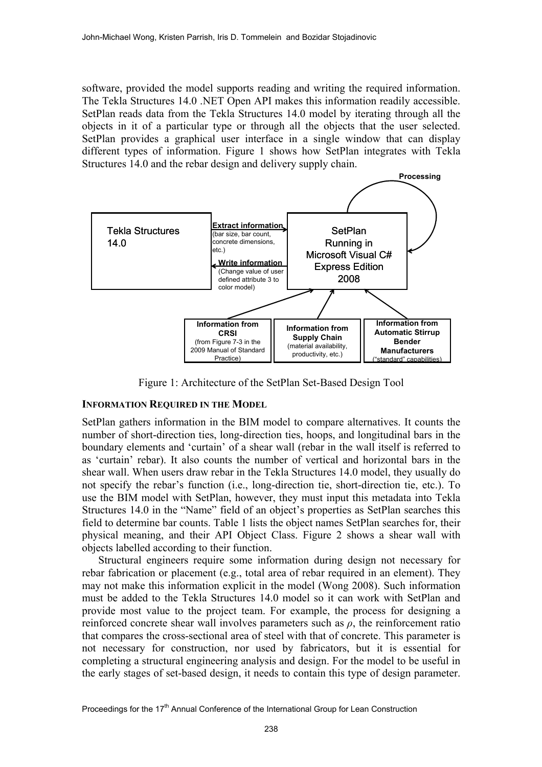software, provided the model supports reading and writing the required information. The Tekla Structures 14.0 .NET Open API makes this information readily accessible. SetPlan reads data from the Tekla Structures 14.0 model by iterating through all the objects in it of a particular type or through all the objects that the user selected. SetPlan provides a graphical user interface in a single window that can display different types of information. Figure 1 shows how SetPlan integrates with Tekla Structures 14.0 and the rebar design and delivery supply chain.



Figure 1: Architecture of the SetPlan Set-Based Design Tool

## **INFORMATION REQUIRED IN THE MODEL**

SetPlan gathers information in the BIM model to compare alternatives. It counts the number of short-direction ties, long-direction ties, hoops, and longitudinal bars in the boundary elements and 'curtain' of a shear wall (rebar in the wall itself is referred to as 'curtain' rebar). It also counts the number of vertical and horizontal bars in the shear wall. When users draw rebar in the Tekla Structures 14.0 model, they usually do not specify the rebar's function (i.e., long-direction tie, short-direction tie, etc.). To use the BIM model with SetPlan, however, they must input this metadata into Tekla Structures 14.0 in the "Name" field of an object's properties as SetPlan searches this field to determine bar counts. Table 1 lists the object names SetPlan searches for, their physical meaning, and their API Object Class. Figure 2 shows a shear wall with objects labelled according to their function.

Structural engineers require some information during design not necessary for rebar fabrication or placement (e.g., total area of rebar required in an element). They may not make this information explicit in the model (Wong 2008). Such information must be added to the Tekla Structures 14.0 model so it can work with SetPlan and provide most value to the project team. For example, the process for designing a reinforced concrete shear wall involves parameters such as *ρ*, the reinforcement ratio that compares the cross-sectional area of steel with that of concrete. This parameter is not necessary for construction, nor used by fabricators, but it is essential for completing a structural engineering analysis and design. For the model to be useful in the early stages of set-based design, it needs to contain this type of design parameter.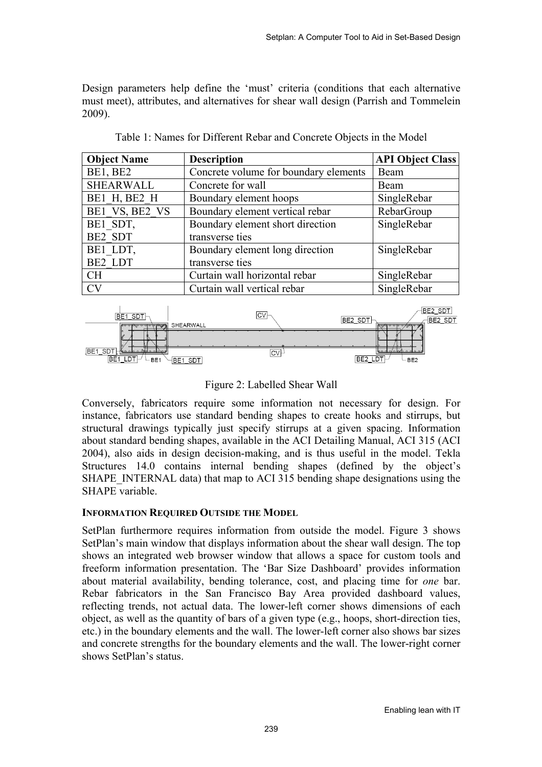Design parameters help define the 'must' criteria (conditions that each alternative must meet), attributes, and alternatives for shear wall design (Parrish and Tommelein 2009).

| <b>Object Name</b> | <b>Description</b>                    | <b>API Object Class</b> |
|--------------------|---------------------------------------|-------------------------|
| BE1, BE2           | Concrete volume for boundary elements | Beam                    |
| <b>SHEARWALL</b>   | Concrete for wall                     | Beam                    |
| BE1 H, BE2 H       | Boundary element hoops                | SingleRebar             |
| BE1 VS, BE2 VS     | Boundary element vertical rebar       | RebarGroup              |
| BE1 SDT,           | Boundary element short direction      | SingleRebar             |
| BE2 SDT            | transverse ties                       |                         |
| BE1 LDT,           | Boundary element long direction       | SingleRebar             |
| BE2 LDT            | transverse ties                       |                         |
| <b>CH</b>          | Curtain wall horizontal rebar         | SingleRebar             |
| <b>CV</b>          | Curtain wall vertical rebar           | SingleRebar             |

Table 1: Names for Different Rebar and Concrete Objects in the Model



Figure 2: Labelled Shear Wall

Conversely, fabricators require some information not necessary for design. For instance, fabricators use standard bending shapes to create hooks and stirrups, but structural drawings typically just specify stirrups at a given spacing. Information about standard bending shapes, available in the ACI Detailing Manual, ACI 315 (ACI 2004), also aids in design decision-making, and is thus useful in the model. Tekla Structures 14.0 contains internal bending shapes (defined by the object's SHAPE\_INTERNAL data) that map to ACI 315 bending shape designations using the SHAPE variable.

## **INFORMATION REQUIRED OUTSIDE THE MODEL**

SetPlan furthermore requires information from outside the model. Figure 3 shows SetPlan's main window that displays information about the shear wall design. The top shows an integrated web browser window that allows a space for custom tools and freeform information presentation. The 'Bar Size Dashboard' provides information about material availability, bending tolerance, cost, and placing time for *one* bar. Rebar fabricators in the San Francisco Bay Area provided dashboard values, reflecting trends, not actual data. The lower-left corner shows dimensions of each object, as well as the quantity of bars of a given type (e.g., hoops, short-direction ties, etc.) in the boundary elements and the wall. The lower-left corner also shows bar sizes and concrete strengths for the boundary elements and the wall. The lower-right corner shows SetPlan's status.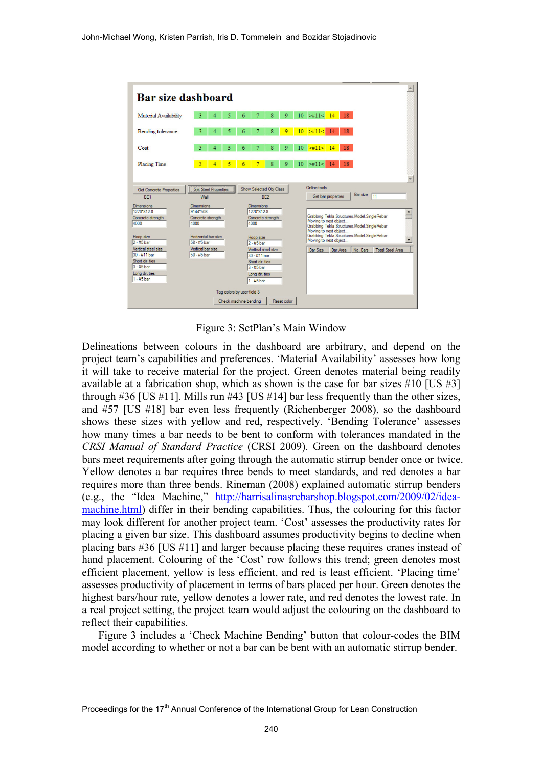

Figure 3: SetPlan's Main Window

Delineations between colours in the dashboard are arbitrary, and depend on the project team's capabilities and preferences. 'Material Availability' assesses how long it will take to receive material for the project. Green denotes material being readily available at a fabrication shop, which as shown is the case for bar sizes #10 [US #3] through  $\#36$  [US  $\#11$ ]. Mills run  $\#43$  [US  $\#14$ ] bar less frequently than the other sizes, and #57 [US #18] bar even less frequently (Richenberger 2008), so the dashboard shows these sizes with yellow and red, respectively. 'Bending Tolerance' assesses how many times a bar needs to be bent to conform with tolerances mandated in the *CRSI Manual of Standard Practice* (CRSI 2009). Green on the dashboard denotes bars meet requirements after going through the automatic stirrup bender once or twice. Yellow denotes a bar requires three bends to meet standards, and red denotes a bar requires more than three bends. Rineman (2008) explained automatic stirrup benders (e.g., the "Idea Machine," http://harrisalinasrebarshop.blogspot.com/2009/02/ideamachine.html) differ in their bending capabilities. Thus, the colouring for this factor may look different for another project team. 'Cost' assesses the productivity rates for placing a given bar size. This dashboard assumes productivity begins to decline when placing bars #36 [US #11] and larger because placing these requires cranes instead of hand placement. Colouring of the 'Cost' row follows this trend; green denotes most efficient placement, yellow is less efficient, and red is least efficient. 'Placing time' assesses productivity of placement in terms of bars placed per hour. Green denotes the highest bars/hour rate, yellow denotes a lower rate, and red denotes the lowest rate. In a real project setting, the project team would adjust the colouring on the dashboard to reflect their capabilities.

Figure 3 includes a 'Check Machine Bending' button that colour-codes the BIM model according to whether or not a bar can be bent with an automatic stirrup bender.

Proceedings for the 17<sup>th</sup> Annual Conference of the International Group for Lean Construction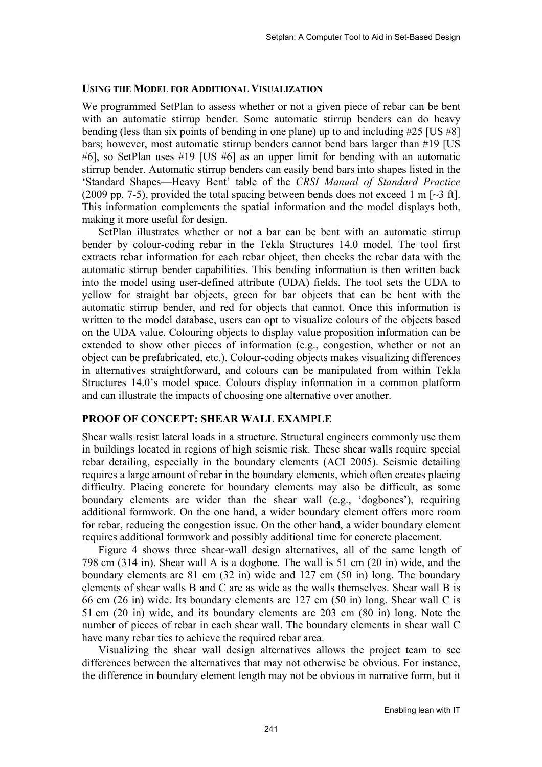#### **USING THE MODEL FOR ADDITIONAL VISUALIZATION**

We programmed SetPlan to assess whether or not a given piece of rebar can be bent with an automatic stirrup bender. Some automatic stirrup benders can do heavy bending (less than six points of bending in one plane) up to and including #25 [US #8] bars; however, most automatic stirrup benders cannot bend bars larger than #19 [US #6], so SetPlan uses #19 [US #6] as an upper limit for bending with an automatic stirrup bender. Automatic stirrup benders can easily bend bars into shapes listed in the 'Standard Shapes—Heavy Bent' table of the *CRSI Manual of Standard Practice* (2009 pp. 7-5), provided the total spacing between bends does not exceed 1 m  $\left[\sim$ 3 ft]. This information complements the spatial information and the model displays both, making it more useful for design.

SetPlan illustrates whether or not a bar can be bent with an automatic stirrup bender by colour-coding rebar in the Tekla Structures 14.0 model. The tool first extracts rebar information for each rebar object, then checks the rebar data with the automatic stirrup bender capabilities. This bending information is then written back into the model using user-defined attribute (UDA) fields. The tool sets the UDA to yellow for straight bar objects, green for bar objects that can be bent with the automatic stirrup bender, and red for objects that cannot. Once this information is written to the model database, users can opt to visualize colours of the objects based on the UDA value. Colouring objects to display value proposition information can be extended to show other pieces of information (e.g., congestion, whether or not an object can be prefabricated, etc.). Colour-coding objects makes visualizing differences in alternatives straightforward, and colours can be manipulated from within Tekla Structures 14.0's model space. Colours display information in a common platform and can illustrate the impacts of choosing one alternative over another.

#### **PROOF OF CONCEPT: SHEAR WALL EXAMPLE**

Shear walls resist lateral loads in a structure. Structural engineers commonly use them in buildings located in regions of high seismic risk. These shear walls require special rebar detailing, especially in the boundary elements (ACI 2005). Seismic detailing requires a large amount of rebar in the boundary elements, which often creates placing difficulty. Placing concrete for boundary elements may also be difficult, as some boundary elements are wider than the shear wall (e.g., 'dogbones'), requiring additional formwork. On the one hand, a wider boundary element offers more room for rebar, reducing the congestion issue. On the other hand, a wider boundary element requires additional formwork and possibly additional time for concrete placement.

Figure 4 shows three shear-wall design alternatives, all of the same length of 798 cm (314 in). Shear wall A is a dogbone. The wall is 51 cm (20 in) wide, and the boundary elements are 81 cm (32 in) wide and 127 cm (50 in) long. The boundary elements of shear walls B and C are as wide as the walls themselves. Shear wall B is 66 cm (26 in) wide. Its boundary elements are 127 cm (50 in) long. Shear wall C is 51 cm (20 in) wide, and its boundary elements are 203 cm (80 in) long. Note the number of pieces of rebar in each shear wall. The boundary elements in shear wall C have many rebar ties to achieve the required rebar area.

Visualizing the shear wall design alternatives allows the project team to see differences between the alternatives that may not otherwise be obvious. For instance, the difference in boundary element length may not be obvious in narrative form, but it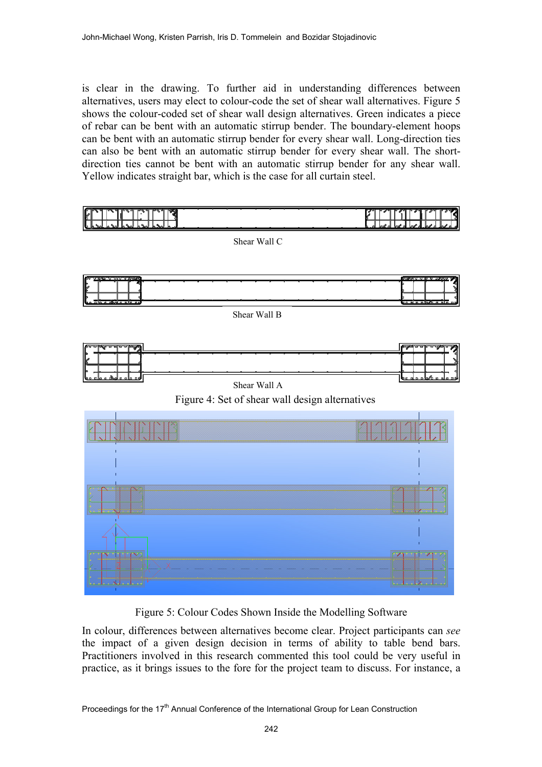is clear in the drawing. To further aid in understanding differences between alternatives, users may elect to colour-code the set of shear wall alternatives. Figure 5 shows the colour-coded set of shear wall design alternatives. Green indicates a piece of rebar can be bent with an automatic stirrup bender. The boundary-element hoops can be bent with an automatic stirrup bender for every shear wall. Long-direction ties can also be bent with an automatic stirrup bender for every shear wall. The shortdirection ties cannot be bent with an automatic stirrup bender for any shear wall. Yellow indicates straight bar, which is the case for all curtain steel.



Figure 5: Colour Codes Shown Inside the Modelling Software

In colour, differences between alternatives become clear. Project participants can *see* the impact of a given design decision in terms of ability to table bend bars. Practitioners involved in this research commented this tool could be very useful in practice, as it brings issues to the fore for the project team to discuss. For instance, a

Proceedings for the 17<sup>th</sup> Annual Conference of the International Group for Lean Construction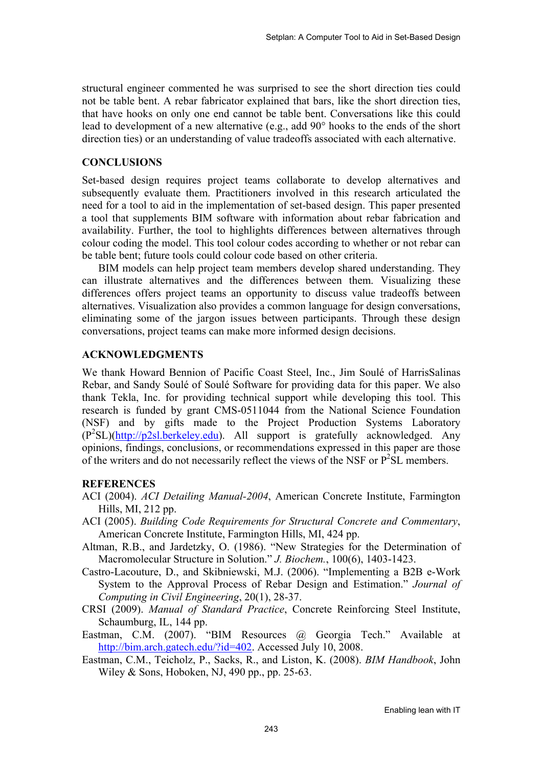structural engineer commented he was surprised to see the short direction ties could not be table bent. A rebar fabricator explained that bars, like the short direction ties, that have hooks on only one end cannot be table bent. Conversations like this could lead to development of a new alternative (e.g., add 90° hooks to the ends of the short direction ties) or an understanding of value tradeoffs associated with each alternative.

#### **CONCLUSIONS**

Set-based design requires project teams collaborate to develop alternatives and subsequently evaluate them. Practitioners involved in this research articulated the need for a tool to aid in the implementation of set-based design. This paper presented a tool that supplements BIM software with information about rebar fabrication and availability. Further, the tool to highlights differences between alternatives through colour coding the model. This tool colour codes according to whether or not rebar can be table bent; future tools could colour code based on other criteria.

BIM models can help project team members develop shared understanding. They can illustrate alternatives and the differences between them. Visualizing these differences offers project teams an opportunity to discuss value tradeoffs between alternatives. Visualization also provides a common language for design conversations, eliminating some of the jargon issues between participants. Through these design conversations, project teams can make more informed design decisions.

#### **ACKNOWLEDGMENTS**

We thank Howard Bennion of Pacific Coast Steel, Inc., Jim Soulé of HarrisSalinas Rebar, and Sandy Soulé of Soulé Software for providing data for this paper. We also thank Tekla, Inc. for providing technical support while developing this tool. This research is funded by grant CMS-0511044 from the National Science Foundation (NSF) and by gifts made to the Project Production Systems Laboratory  $(P<sup>2</sup>SL)(http://p2sl.berkeley.edu)$ . All support is gratefully acknowledged. Any opinions, findings, conclusions, or recommendations expressed in this paper are those of the writers and do not necessarily reflect the views of the NSF or  $P^2SL$  members.

#### **REFERENCES**

- ACI (2004). *ACI Detailing Manual-2004*, American Concrete Institute, Farmington Hills, MI, 212 pp.
- ACI (2005). *Building Code Requirements for Structural Concrete and Commentary*, American Concrete Institute, Farmington Hills, MI, 424 pp.
- Altman, R.B., and Jardetzky, O. (1986). "New Strategies for the Determination of Macromolecular Structure in Solution." *J. Biochem.*, 100(6), 1403-1423.
- Castro-Lacouture, D., and Skibniewski, M.J. (2006). "Implementing a B2B e-Work System to the Approval Process of Rebar Design and Estimation." *Journal of Computing in Civil Engineering*, 20(1), 28-37.
- CRSI (2009). *Manual of Standard Practice*, Concrete Reinforcing Steel Institute, Schaumburg, IL, 144 pp.
- Eastman, C.M. (2007). "BIM Resources @ Georgia Tech." Available at http://bim.arch.gatech.edu/?id=402. Accessed July 10, 2008.
- Eastman, C.M., Teicholz, P., Sacks, R., and Liston, K. (2008). *BIM Handbook*, John Wiley & Sons, Hoboken, NJ, 490 pp., pp. 25-63.